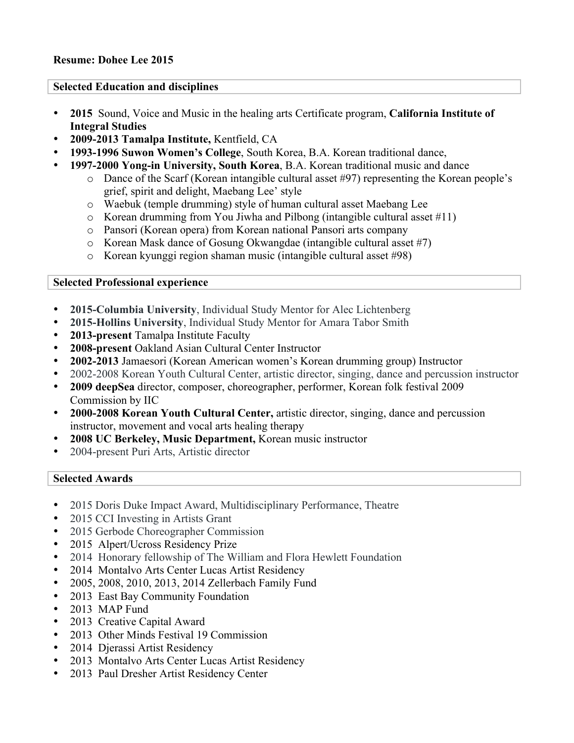## **Selected Education and disciplines**

- **2015** Sound, Voice and Music in the healing arts Certificate program, **California Institute of Integral Studies**
- **2009-2013 Tamalpa Institute,** Kentfield, CA
- **1993-1996 Suwon Women's College**, South Korea, B.A. Korean traditional dance,
- **1997-2000 Yong-in University, South Korea**, B.A. Korean traditional music and dance
	- o Dance of the Scarf (Korean intangible cultural asset #97) representing the Korean people's grief, spirit and delight, Maebang Lee' style
	- o Waebuk (temple drumming) style of human cultural asset Maebang Lee
	- o Korean drumming from You Jiwha and Pilbong (intangible cultural asset #11)
	- o Pansori (Korean opera) from Korean national Pansori arts company
	- o Korean Mask dance of Gosung Okwangdae (intangible cultural asset #7)
	- o Korean kyunggi region shaman music (intangible cultural asset #98)

## **Selected Professional experience**

- **2015-Columbia University**, Individual Study Mentor for Alec Lichtenberg
- **2015-Hollins University**, Individual Study Mentor for Amara Tabor Smith
- **2013-present** Tamalpa Institute Faculty
- **2008-present** Oakland Asian Cultural Center Instructor
- **2002-2013** Jamaesori (Korean American women's Korean drumming group) Instructor
- 2002-2008 Korean Youth Cultural Center, artistic director, singing, dance and percussion instructor
- **2009 deepSea** director, composer, choreographer, performer, Korean folk festival 2009 Commission by IIC
- **2000-2008 Korean Youth Cultural Center,** artistic director, singing, dance and percussion instructor, movement and vocal arts healing therapy
- **2008 UC Berkeley, Music Department,** Korean music instructor
- 2004-present Puri Arts, Artistic director

## **Selected Awards**

- 2015 Doris Duke Impact Award, Multidisciplinary Performance, Theatre
- 2015 CCI Investing in Artists Grant
- 2015 Gerbode Choreographer Commission
- 2015 Alpert/Ucross Residency Prize
- 2014 Honorary fellowship of The William and Flora Hewlett Foundation
- 2014 Montalvo Arts Center Lucas Artist Residency
- 2005, 2008, 2010, 2013, 2014 Zellerbach Family Fund
- 2013 East Bay Community Foundation
- 2013 MAP Fund
- 2013 Creative Capital Award
- 2013 Other Minds Festival 19 Commission
- 2014 Djerassi Artist Residency
- 2013 Montalvo Arts Center Lucas Artist Residency
- 2013 Paul Dresher Artist Residency Center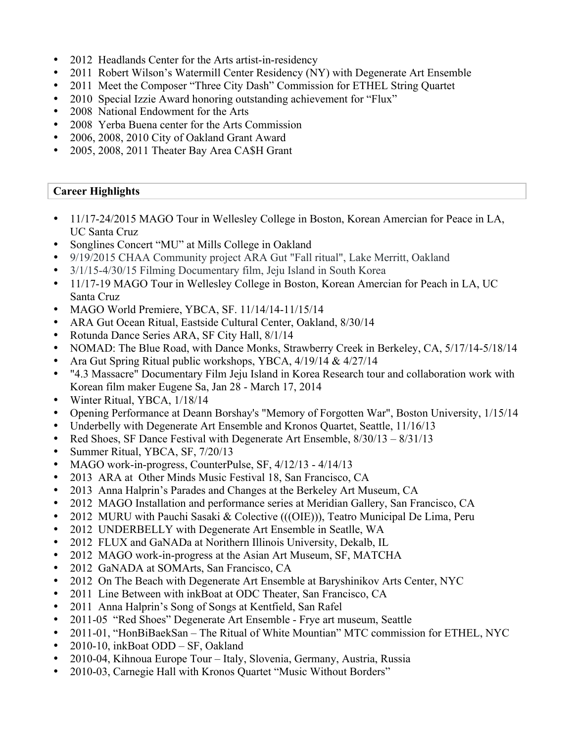- 2012 Headlands Center for the Arts artist-in-residency
- 2011 Robert Wilson's Watermill Center Residency (NY) with Degenerate Art Ensemble
- 2011 Meet the Composer "Three City Dash" Commission for ETHEL String Quartet
- 2010 Special Izzie Award honoring outstanding achievement for "Flux"
- 2008 National Endowment for the Arts
- 2008 Yerba Buena center for the Arts Commission
- 2006, 2008, 2010 City of Oakland Grant Award
- 2005, 2008, 2011 Theater Bay Area CA\$H Grant

## **Career Highlights**

- 11/17-24/2015 MAGO Tour in Wellesley College in Boston, Korean Amercian for Peace in LA, UC Santa Cruz
- Songlines Concert "MU" at Mills College in Oakland
- 9/19/2015 CHAA Community project ARA Gut "Fall ritual", Lake Merritt, Oakland
- 3/1/15-4/30/15 Filming Documentary film, Jeju Island in South Korea
- 11/17-19 MAGO Tour in Wellesley College in Boston, Korean Amercian for Peach in LA, UC Santa Cruz
- MAGO World Premiere, YBCA, SF. 11/14/14-11/15/14
- ARA Gut Ocean Ritual, Eastside Cultural Center, Oakland, 8/30/14
- Rotunda Dance Series ARA, SF City Hall, 8/1/14
- NOMAD: The Blue Road, with Dance Monks, Strawberry Creek in Berkeley, CA,  $5/17/14-5/18/14$
- Ara Gut Spring Ritual public workshops, YBCA, 4/19/14 & 4/27/14
- "4.3 Massacre" Documentary Film Jeju Island in Korea Research tour and collaboration work with Korean film maker Eugene Sa, Jan 28 - March 17, 2014
- Winter Ritual, YBCA,  $1/18/14$
- Opening Performance at Deann Borshay's "Memory of Forgotten War", Boston University, 1/15/14
- Underbelly with Degenerate Art Ensemble and Kronos Quartet, Seattle, 11/16/13
- Red Shoes, SF Dance Festival with Degenerate Art Ensemble,  $8/30/13 8/31/13$
- Summer Ritual, YBCA, SF, 7/20/13
- MAGO work-in-progress, CounterPulse, SF,  $4/12/13 4/14/13$
- 2013 ARA at Other Minds Music Festival 18, San Francisco, CA
- 2013 Anna Halprin's Parades and Changes at the Berkeley Art Museum, CA
- 2012 MAGO Installation and performance series at Meridian Gallery, San Francisco, CA
- 2012 MURU with Pauchi Sasaki & Colective (((OIE))), Teatro Municipal De Lima, Peru
- 2012 UNDERBELLY with Degenerate Art Ensemble in Seatlle, WA
- 2012 FLUX and GaNADa at Norithern Illinois University, Dekalb, IL
- 2012 MAGO work-in-progress at the Asian Art Museum, SF, MATCHA
- 2012 GaNADA at SOMArts, San Francisco, CA
- 2012 On The Beach with Degenerate Art Ensemble at Baryshinikov Arts Center, NYC
- 2011 Line Between with inkBoat at ODC Theater, San Francisco, CA
- 2011 Anna Halprin's Song of Songs at Kentfield, San Rafel
- 2011-05 "Red Shoes" Degenerate Art Ensemble Frye art museum, Seattle
- 2011-01, "HonBiBaekSan The Ritual of White Mountian" MTC commission for ETHEL, NYC
- 2010-10, inkBoat ODD SF, Oakland
- 2010-04, Kihnoua Europe Tour Italy, Slovenia, Germany, Austria, Russia
- 2010-03, Carnegie Hall with Kronos Quartet "Music Without Borders"